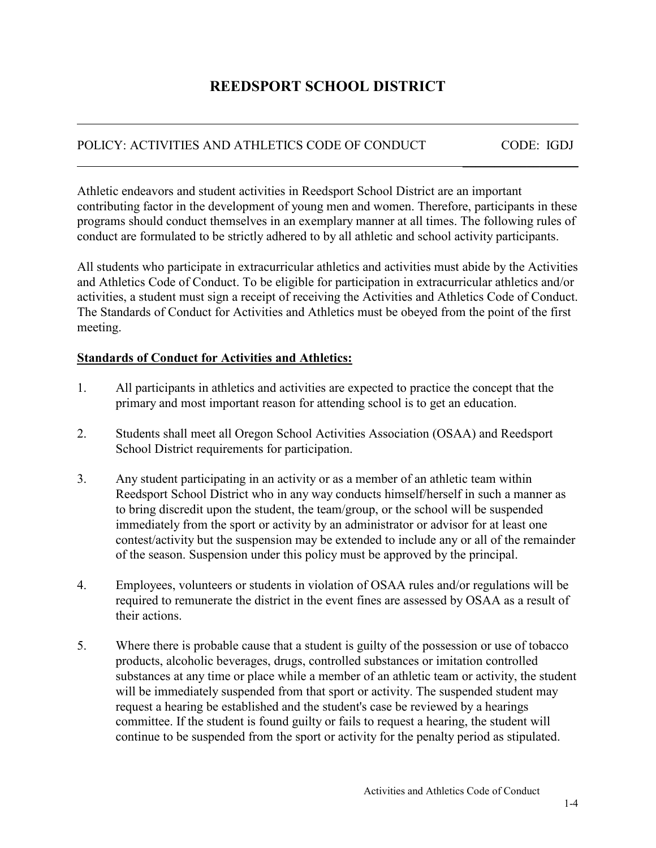# **REEDSPORT SCHOOL DISTRICT**

## POLICY: ACTIVITIES AND ATHLETICS CODE OF CONDUCT CODE: IGDJ

\_\_\_\_\_\_\_\_\_\_\_\_\_\_\_\_\_\_

Athletic endeavors and student activities in Reedsport School District are an important contributing factor in the development of young men and women. Therefore, participants in these programs should conduct themselves in an exemplary manner at all times. The following rules of conduct are formulated to be strictly adhered to by all athletic and school activity participants.

All students who participate in extracurricular athletics and activities must abide by the Activities and Athletics Code of Conduct. To be eligible for participation in extracurricular athletics and/or activities, a student must sign a receipt of receiving the Activities and Athletics Code of Conduct. The Standards of Conduct for Activities and Athletics must be obeyed from the point of the first meeting.

### **Standards of Conduct for Activities and Athletics:**

 $\overline{a}$ 

- 1. All participants in athletics and activities are expected to practice the concept that the primary and most important reason for attending school is to get an education.
- 2. Students shall meet all Oregon School Activities Association (OSAA) and Reedsport School District requirements for participation.
- 3. Any student participating in an activity or as a member of an athletic team within Reedsport School District who in any way conducts himself/herself in such a manner as to bring discredit upon the student, the team/group, or the school will be suspended immediately from the sport or activity by an administrator or advisor for at least one contest/activity but the suspension may be extended to include any or all of the remainder of the season. Suspension under this policy must be approved by the principal.
- 4. Employees, volunteers or students in violation of OSAA rules and/or regulations will be required to remunerate the district in the event fines are assessed by OSAA as a result of their actions.
- 5. Where there is probable cause that a student is guilty of the possession or use of tobacco products, alcoholic beverages, drugs, controlled substances or imitation controlled substances at any time or place while a member of an athletic team or activity, the student will be immediately suspended from that sport or activity. The suspended student may request a hearing be established and the student's case be reviewed by a hearings committee. If the student is found guilty or fails to request a hearing, the student will continue to be suspended from the sport or activity for the penalty period as stipulated.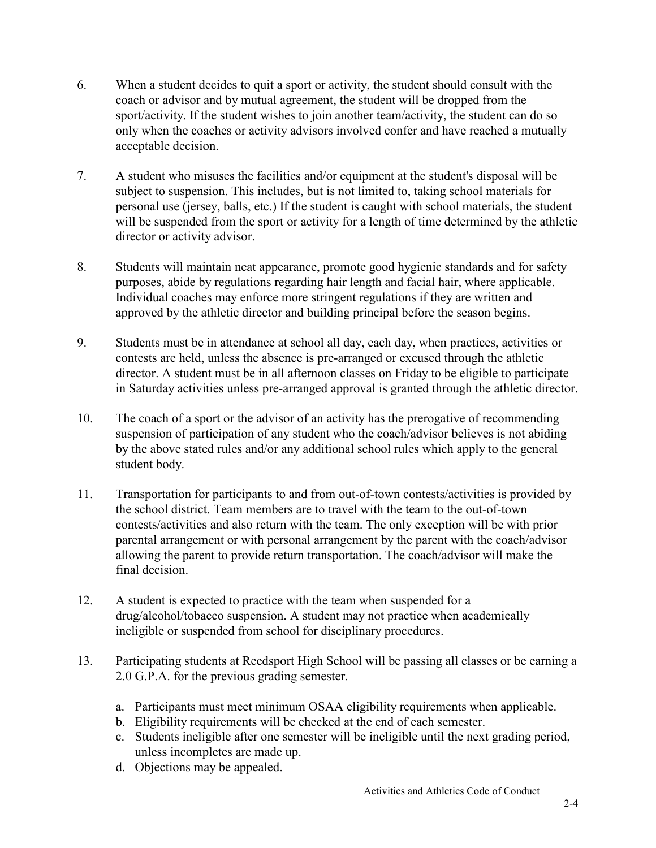- 6. When a student decides to quit a sport or activity, the student should consult with the coach or advisor and by mutual agreement, the student will be dropped from the sport/activity. If the student wishes to join another team/activity, the student can do so only when the coaches or activity advisors involved confer and have reached a mutually acceptable decision.
- 7. A student who misuses the facilities and/or equipment at the student's disposal will be subject to suspension. This includes, but is not limited to, taking school materials for personal use (jersey, balls, etc.) If the student is caught with school materials, the student will be suspended from the sport or activity for a length of time determined by the athletic director or activity advisor.
- 8. Students will maintain neat appearance, promote good hygienic standards and for safety purposes, abide by regulations regarding hair length and facial hair, where applicable. Individual coaches may enforce more stringent regulations if they are written and approved by the athletic director and building principal before the season begins.
- 9. Students must be in attendance at school all day, each day, when practices, activities or contests are held, unless the absence is pre-arranged or excused through the athletic director. A student must be in all afternoon classes on Friday to be eligible to participate in Saturday activities unless pre-arranged approval is granted through the athletic director.
- 10. The coach of a sport or the advisor of an activity has the prerogative of recommending suspension of participation of any student who the coach/advisor believes is not abiding by the above stated rules and/or any additional school rules which apply to the general student body.
- 11. Transportation for participants to and from out-of-town contests/activities is provided by the school district. Team members are to travel with the team to the out-of-town contests/activities and also return with the team. The only exception will be with prior parental arrangement or with personal arrangement by the parent with the coach/advisor allowing the parent to provide return transportation. The coach/advisor will make the final decision.
- 12. A student is expected to practice with the team when suspended for a drug/alcohol/tobacco suspension. A student may not practice when academically ineligible or suspended from school for disciplinary procedures.
- 13. Participating students at Reedsport High School will be passing all classes or be earning a 2.0 G.P.A. for the previous grading semester.
	- a. Participants must meet minimum OSAA eligibility requirements when applicable.
	- b. Eligibility requirements will be checked at the end of each semester.
	- c. Students ineligible after one semester will be ineligible until the next grading period, unless incompletes are made up.
	- d. Objections may be appealed.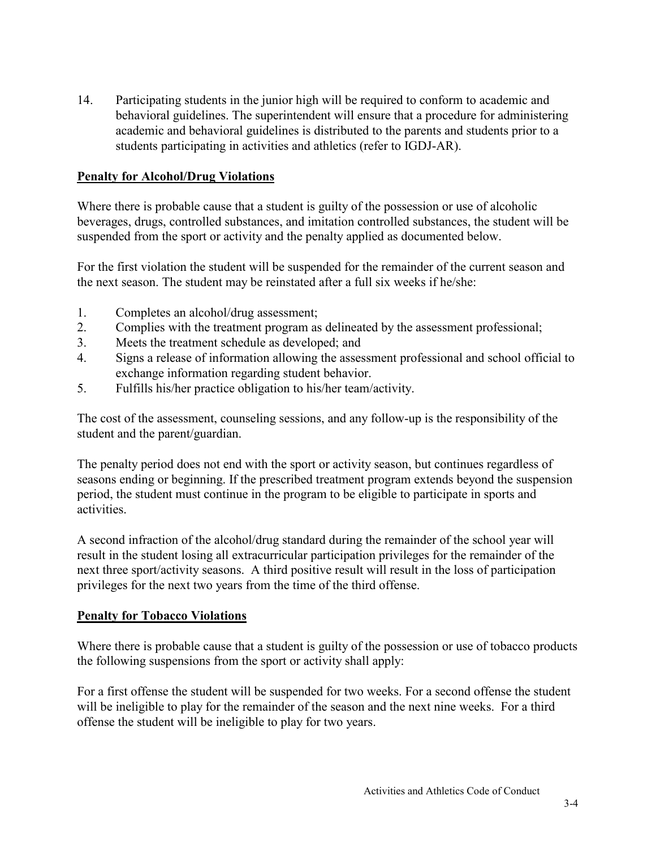14. Participating students in the junior high will be required to conform to academic and behavioral guidelines. The superintendent will ensure that a procedure for administering academic and behavioral guidelines is distributed to the parents and students prior to a students participating in activities and athletics (refer to IGDJ-AR).

#### **Penalty for Alcohol/Drug Violations**

Where there is probable cause that a student is guilty of the possession or use of alcoholic beverages, drugs, controlled substances, and imitation controlled substances, the student will be suspended from the sport or activity and the penalty applied as documented below.

For the first violation the student will be suspended for the remainder of the current season and the next season. The student may be reinstated after a full six weeks if he/she:

- 1. Completes an alcohol/drug assessment;
- 2. Complies with the treatment program as delineated by the assessment professional;
- 3. Meets the treatment schedule as developed; and
- 4. Signs a release of information allowing the assessment professional and school official to exchange information regarding student behavior.
- 5. Fulfills his/her practice obligation to his/her team/activity.

The cost of the assessment, counseling sessions, and any follow-up is the responsibility of the student and the parent/guardian.

The penalty period does not end with the sport or activity season, but continues regardless of seasons ending or beginning. If the prescribed treatment program extends beyond the suspension period, the student must continue in the program to be eligible to participate in sports and activities.

A second infraction of the alcohol/drug standard during the remainder of the school year will result in the student losing all extracurricular participation privileges for the remainder of the next three sport/activity seasons. A third positive result will result in the loss of participation privileges for the next two years from the time of the third offense.

#### **Penalty for Tobacco Violations**

Where there is probable cause that a student is guilty of the possession or use of tobacco products the following suspensions from the sport or activity shall apply:

For a first offense the student will be suspended for two weeks. For a second offense the student will be ineligible to play for the remainder of the season and the next nine weeks. For a third offense the student will be ineligible to play for two years.